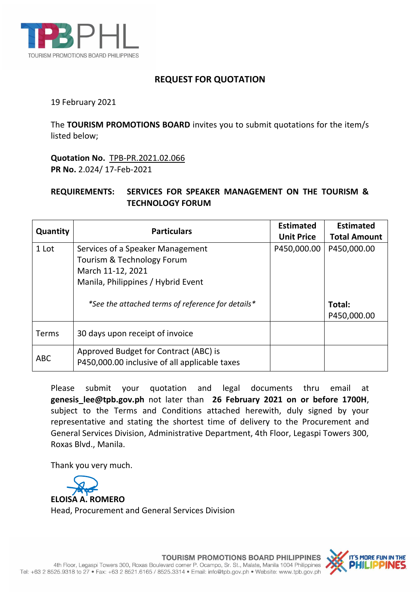

## **REQUEST FOR QUOTATION**

19 February 2021

The **TOURISM PROMOTIONS BOARD** invites you to submit quotations for the item/s listed below;

**Quotation No.** TPB-PR.2021.02.066 **PR No.** 2.024/ 17-Feb-2021

## **REQUIREMENTS: SERVICES FOR SPEAKER MANAGEMENT ON THE TOURISM & TECHNOLOGY FORUM**

| Quantity   | <b>Particulars</b>                                                                                                        | <b>Estimated</b><br><b>Unit Price</b> | <b>Estimated</b><br><b>Total Amount</b> |
|------------|---------------------------------------------------------------------------------------------------------------------------|---------------------------------------|-----------------------------------------|
| 1 Lot      | Services of a Speaker Management<br>Tourism & Technology Forum<br>March 11-12, 2021<br>Manila, Philippines / Hybrid Event | P450,000.00                           | P450,000.00                             |
|            | *See the attached terms of reference for details*                                                                         |                                       | Total:<br>P450,000.00                   |
| Terms      | 30 days upon receipt of invoice                                                                                           |                                       |                                         |
| <b>ABC</b> | Approved Budget for Contract (ABC) is<br>P450,000.00 inclusive of all applicable taxes                                    |                                       |                                         |

Please submit your quotation and legal documents thru email at **genesis\_lee@tpb.gov.ph** not later than **26 February 2021 on or before 1700H**, subject to the Terms and Conditions attached herewith, duly signed by your representative and stating the shortest time of delivery to the Procurement and General Services Division, Administrative Department, 4th Floor, Legaspi Towers 300, Roxas Blvd., Manila.

Thank you very much.

**ELOISA A. ROMERO** Head, Procurement and General Services Division